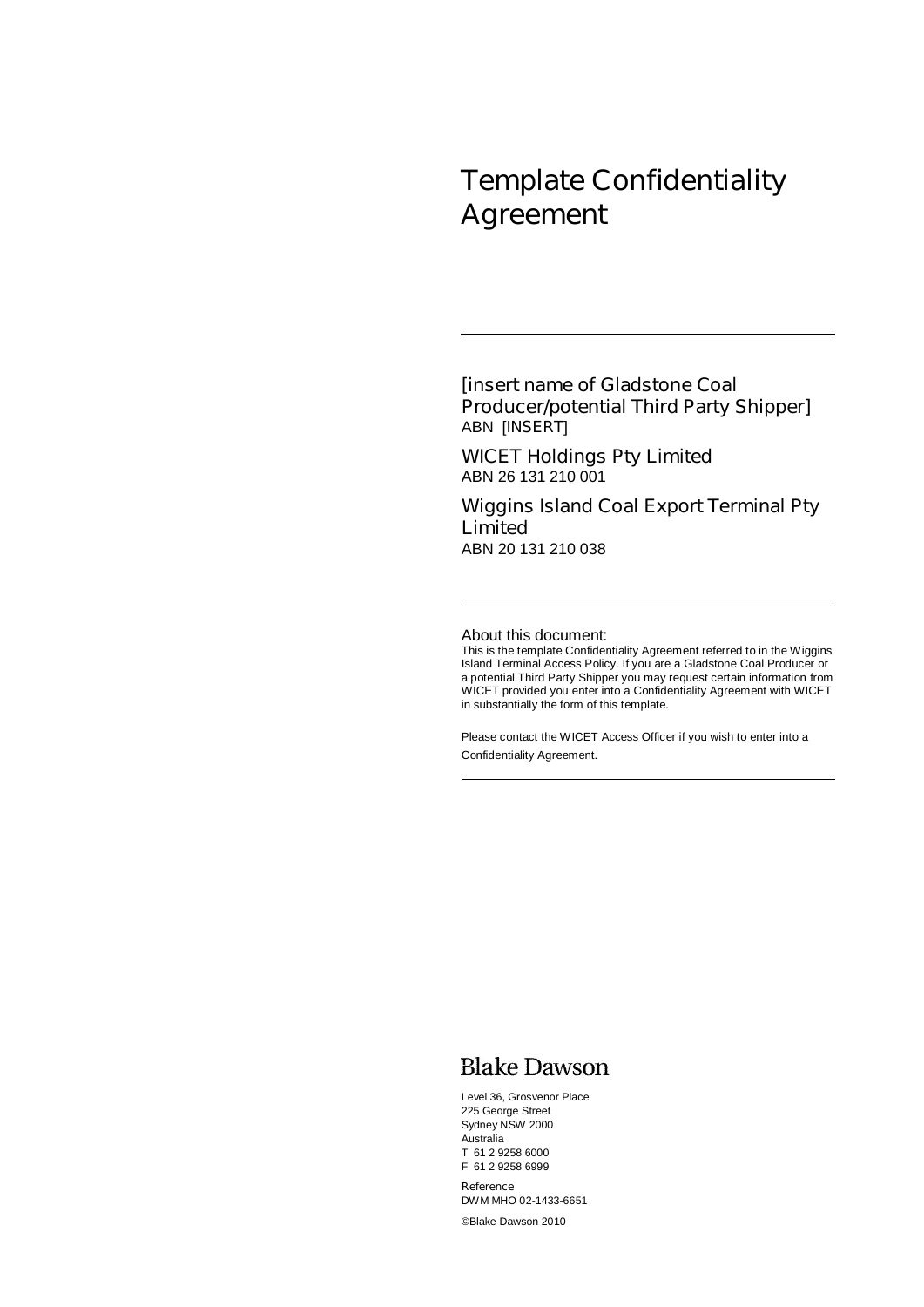# **Template Confidentiality Agreement**

### **[***insert name of Gladstone Coal Producer/potential Third Party Shipper***]**  ABN [*INSERT*]

**WICET Holdings Pty Limited**  ABN 26 131 210 001

**Wiggins Island Coal Export Terminal Pty Limited**  ABN 20 131 210 038

About this document:

This is the template Confidentiality Agreement referred to in the Wiggins Island Terminal Access Policy. If you are a Gladstone Coal Producer or a potential Third Party Shipper you may request certain information from WICET provided you enter into a Confidentiality Agreement with WICET in substantially the form of this template.

Please contact the WICET Access Officer if you wish to enter into a Confidentiality Agreement.

### **Blake Dawson**

Level 36, Grosvenor Place 225 George Street Sydney NSW 2000 Australia T 61 2 9258 6000 F 61 2 9258 6999

**Reference**  DWM MHO 02-1433-6651 ©Blake Dawson 2010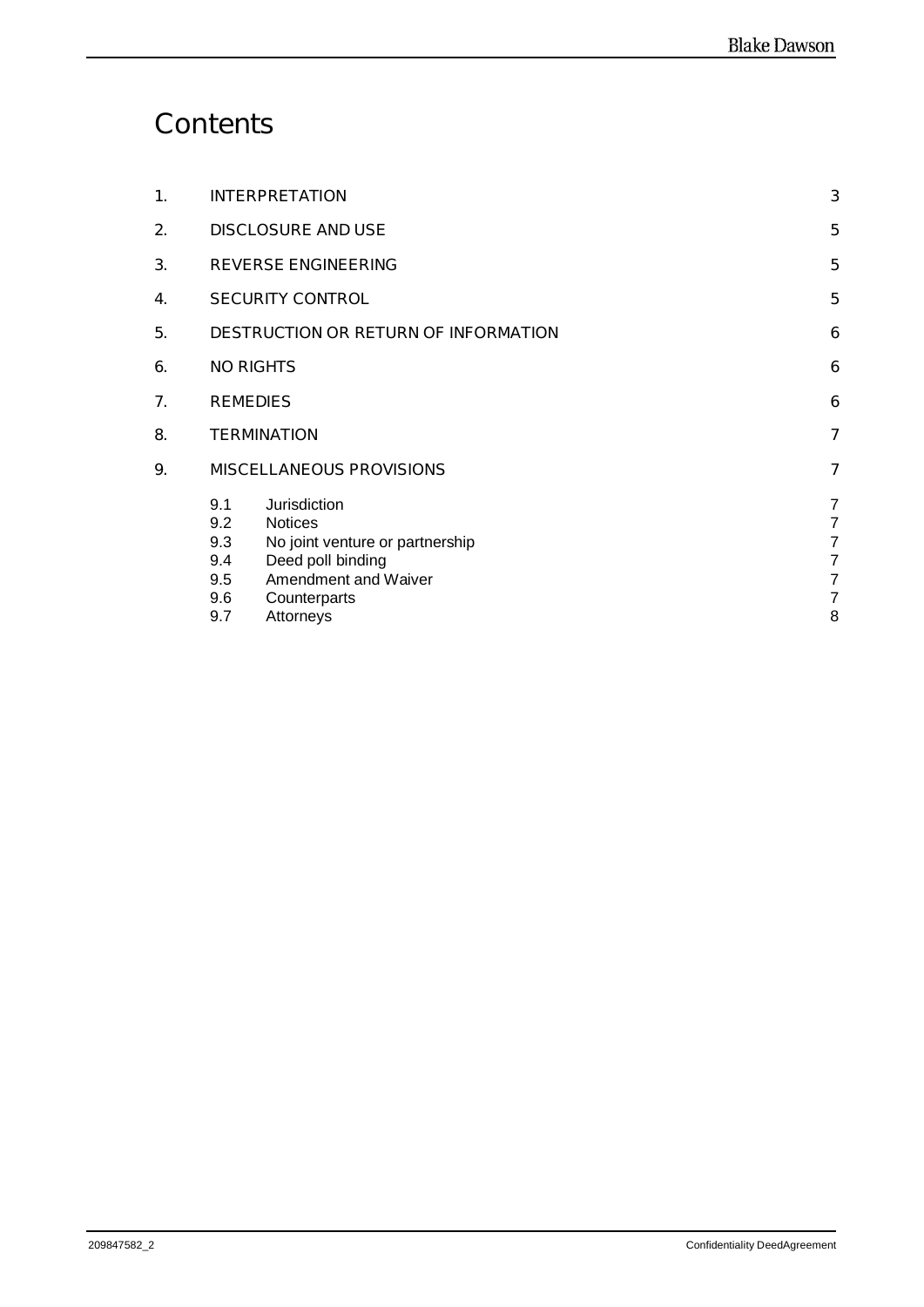# **Contents**

| 1. | <b>INTERPRETATION</b>                                                                                                                                                                        | 3                                                                                                             |
|----|----------------------------------------------------------------------------------------------------------------------------------------------------------------------------------------------|---------------------------------------------------------------------------------------------------------------|
| 2. | <b>DISCLOSURE AND USE</b>                                                                                                                                                                    | 5                                                                                                             |
| 3. | <b>REVERSE ENGINEERING</b>                                                                                                                                                                   | 5                                                                                                             |
| 4. | <b>SECURITY CONTROL</b>                                                                                                                                                                      | 5                                                                                                             |
| 5. | <b>DESTRUCTION OR RETURN OF INFORMATION</b>                                                                                                                                                  | 6                                                                                                             |
| 6. | <b>NO RIGHTS</b>                                                                                                                                                                             | 6                                                                                                             |
| 7. | <b>REMEDIES</b>                                                                                                                                                                              | 6                                                                                                             |
| 8. | <b>TERMINATION</b>                                                                                                                                                                           | 7                                                                                                             |
| 9. | <b>MISCELLANEOUS PROVISIONS</b>                                                                                                                                                              | 7                                                                                                             |
|    | 9.1<br>Jurisdiction<br>9.2<br><b>Notices</b><br>No joint venture or partnership<br>9.3<br>Deed poll binding<br>9.4<br>Amendment and Waiver<br>9.5<br>9.6<br>Counterparts<br>9.7<br>Attorneys | $\overline{7}$<br>$\overline{7}$<br>$\overline{7}$<br>$\overline{7}$<br>$\overline{7}$<br>$\overline{7}$<br>8 |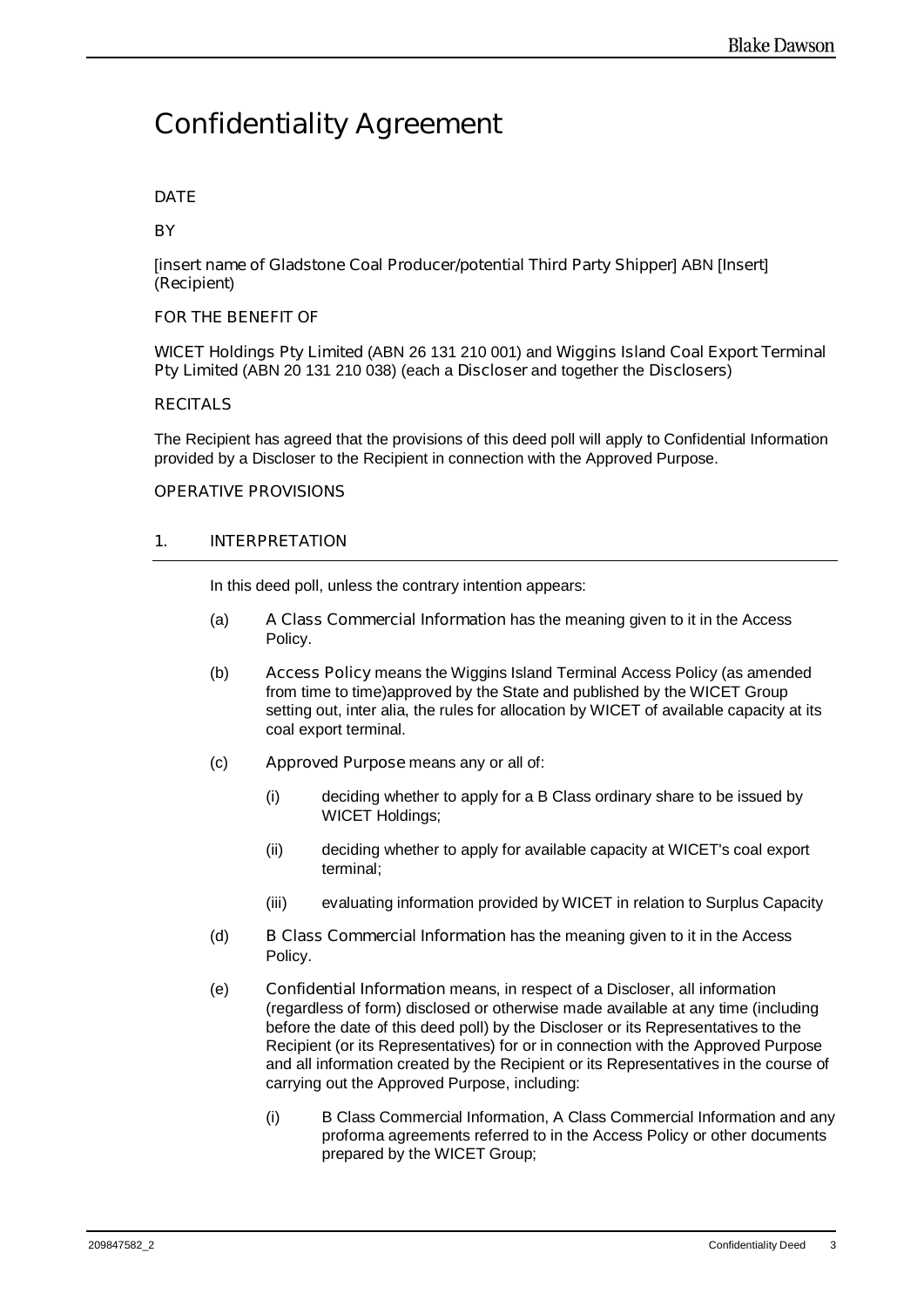## **Confidentiality Agreement**

#### **DATE**

#### **BY**

[*insert name of Gladstone Coal Producer/potential Third Party Shipper*] ABN [*Insert*] (**Recipient**)

#### **FOR THE BENEFIT OF**

**WICET Holdings Pty Limited** (ABN 26 131 210 001) and **Wiggins Island Coal Export Terminal Pty Limited** (ABN 20 131 210 038) (each a **Discloser** and together the **Disclosers**)

#### **RECITALS**

The Recipient has agreed that the provisions of this deed poll will apply to Confidential Information provided by a Discloser to the Recipient in connection with the Approved Purpose.

#### **OPERATIVE PROVISIONS**

#### **1. INTERPRETATION**

In this deed poll, unless the contrary intention appears:

- (a) **A Class Commercial Information** has the meaning given to it in the Access Policy.
- (b) **Access Policy** means the Wiggins Island Terminal Access Policy (as amended from time to time)approved by the State and published by the WICET Group setting out, inter alia, the rules for allocation by WICET of available capacity at its coal export terminal.
- (c) **Approved Purpose** means any or all of:
	- (i) deciding whether to apply for a B Class ordinary share to be issued by WICET Holdings;
	- (ii) deciding whether to apply for available capacity at WICET's coal export terminal;
	- (iii) evaluating information provided by WICET in relation to Surplus Capacity
- (d) **B Class Commercial Information** has the meaning given to it in the Access Policy.
- (e) **Confidential Information** means, in respect of a Discloser, all information (regardless of form) disclosed or otherwise made available at any time (including before the date of this deed poll) by the Discloser or its Representatives to the Recipient (or its Representatives) for or in connection with the Approved Purpose and all information created by the Recipient or its Representatives in the course of carrying out the Approved Purpose, including:
	- (i) B Class Commercial Information, A Class Commercial Information and any proforma agreements referred to in the Access Policy or other documents prepared by the WICET Group;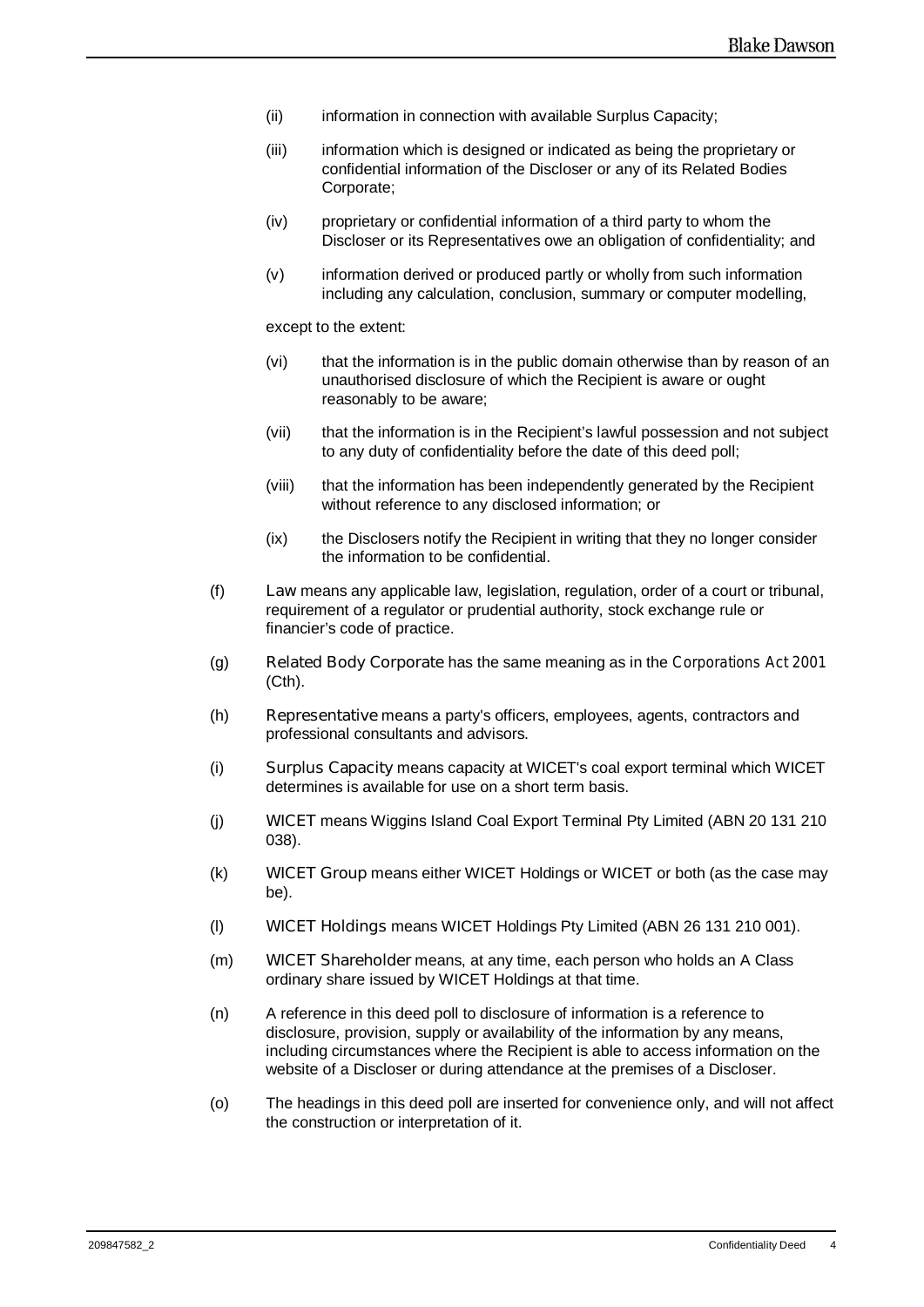- (ii) information in connection with available Surplus Capacity;
- (iii) information which is designed or indicated as being the proprietary or confidential information of the Discloser or any of its Related Bodies Corporate;
- (iv) proprietary or confidential information of a third party to whom the Discloser or its Representatives owe an obligation of confidentiality; and
- (v) information derived or produced partly or wholly from such information including any calculation, conclusion, summary or computer modelling,

except to the extent:

- (vi) that the information is in the public domain otherwise than by reason of an unauthorised disclosure of which the Recipient is aware or ought reasonably to be aware;
- (vii) that the information is in the Recipient's lawful possession and not subject to any duty of confidentiality before the date of this deed poll;
- (viii) that the information has been independently generated by the Recipient without reference to any disclosed information; or
- (ix) the Disclosers notify the Recipient in writing that they no longer consider the information to be confidential.
- (f) **Law** means any applicable law, legislation, regulation, order of a court or tribunal, requirement of a regulator or prudential authority, stock exchange rule or financier's code of practice.
- (g) **Related Body Corporate** has the same meaning as in the *Corporations Act 2001* (Cth).
- (h) **Representative** means a party's officers, employees, agents, contractors and professional consultants and advisors.
- (i) **Surplus Capacity** means capacity at WICET's coal export terminal which WICET determines is available for use on a short term basis.
- (j) **WICET** means Wiggins Island Coal Export Terminal Pty Limited (ABN 20 131 210 038).
- (k) **WICET Group** means either WICET Holdings or WICET or both (as the case may be).
- (l) **WICET Holdings** means WICET Holdings Pty Limited (ABN 26 131 210 001).
- (m) **WICET Shareholder** means, at any time, each person who holds an A Class ordinary share issued by WICET Holdings at that time.
- (n) A reference in this deed poll to disclosure of information is a reference to disclosure, provision, supply or availability of the information by any means, including circumstances where the Recipient is able to access information on the website of a Discloser or during attendance at the premises of a Discloser.
- (o) The headings in this deed poll are inserted for convenience only, and will not affect the construction or interpretation of it.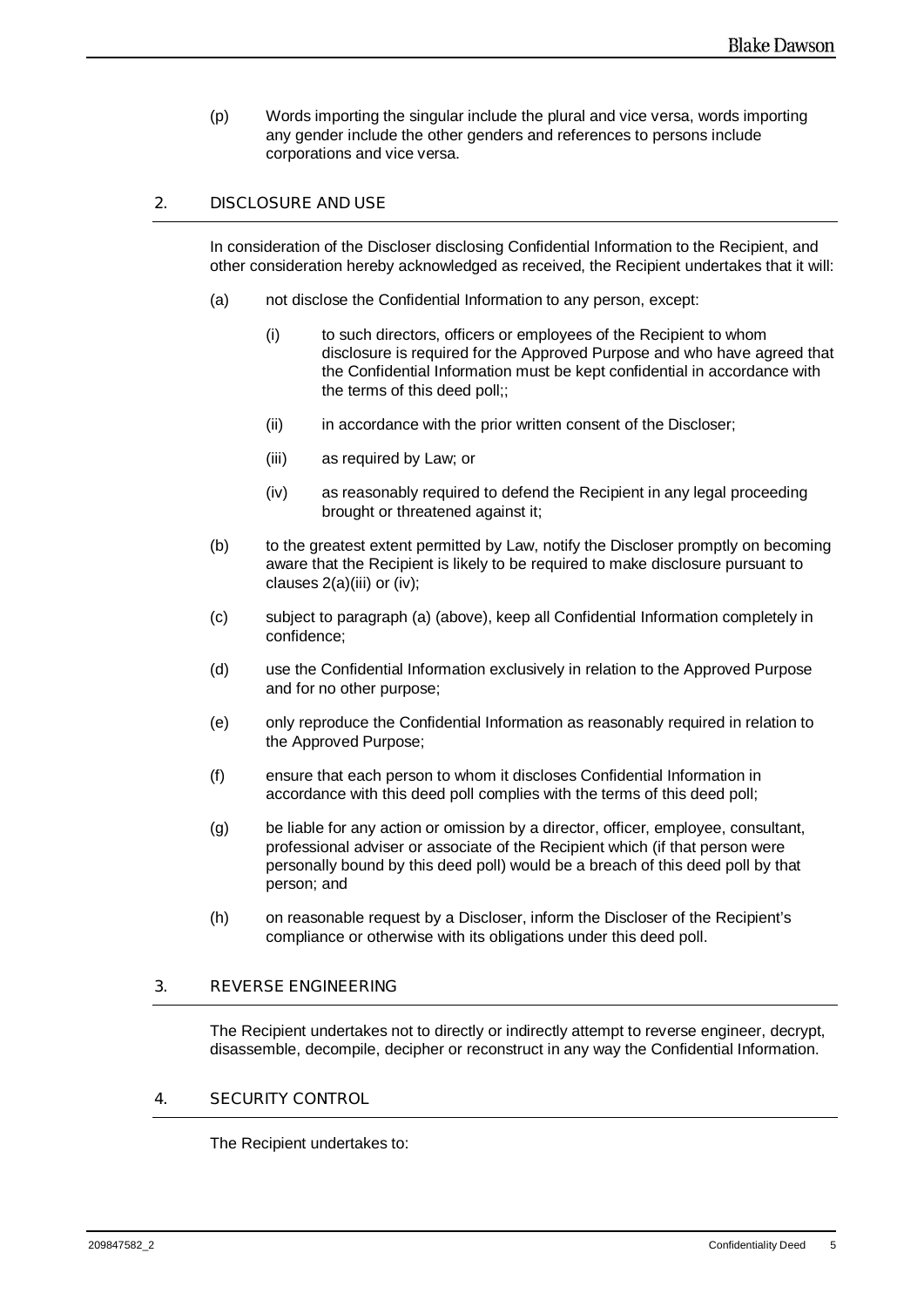(p) Words importing the singular include the plural and vice versa, words importing any gender include the other genders and references to persons include corporations and vice versa.

#### **2. DISCLOSURE AND USE**

In consideration of the Discloser disclosing Confidential Information to the Recipient, and other consideration hereby acknowledged as received, the Recipient undertakes that it will:

- (a) not disclose the Confidential Information to any person, except:
	- (i) to such directors, officers or employees of the Recipient to whom disclosure is required for the Approved Purpose and who have agreed that the Confidential Information must be kept confidential in accordance with the terms of this deed poll;;
	- (ii) in accordance with the prior written consent of the Discloser;
	- (iii) as required by Law; or
	- (iv) as reasonably required to defend the Recipient in any legal proceeding brought or threatened against it;
- (b) to the greatest extent permitted by Law, notify the Discloser promptly on becoming aware that the Recipient is likely to be required to make disclosure pursuant to clauses 2(a)(iii) or (iv);
- (c) subject to paragraph (a) (above), keep all Confidential Information completely in confidence;
- (d) use the Confidential Information exclusively in relation to the Approved Purpose and for no other purpose;
- (e) only reproduce the Confidential Information as reasonably required in relation to the Approved Purpose;
- (f) ensure that each person to whom it discloses Confidential Information in accordance with this deed poll complies with the terms of this deed poll;
- (g) be liable for any action or omission by a director, officer, employee, consultant, professional adviser or associate of the Recipient which (if that person were personally bound by this deed poll) would be a breach of this deed poll by that person; and
- (h) on reasonable request by a Discloser, inform the Discloser of the Recipient's compliance or otherwise with its obligations under this deed poll.

#### **3. REVERSE ENGINEERING**

The Recipient undertakes not to directly or indirectly attempt to reverse engineer, decrypt, disassemble, decompile, decipher or reconstruct in any way the Confidential Information.

#### **4. SECURITY CONTROL**

The Recipient undertakes to: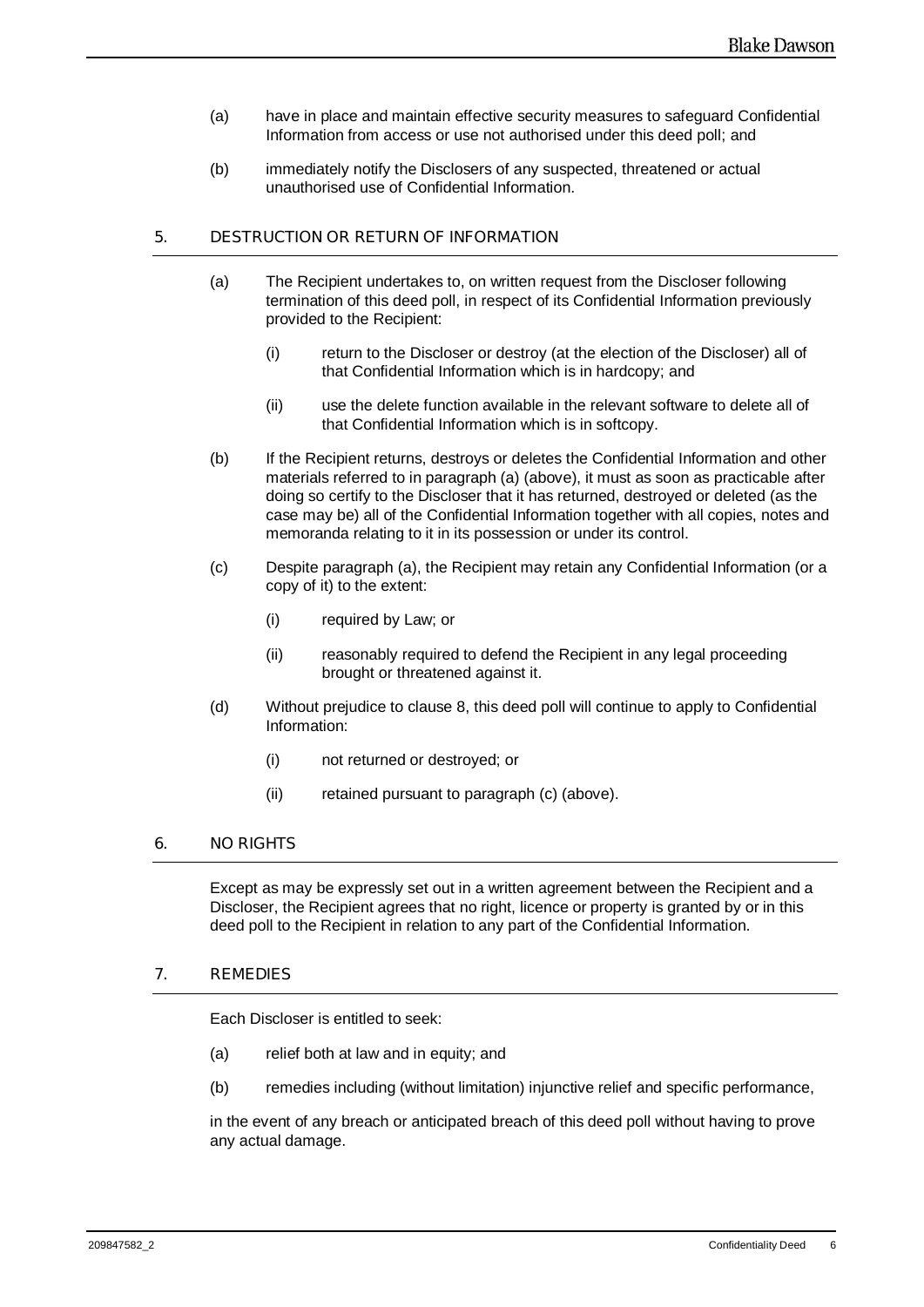- (a) have in place and maintain effective security measures to safeguard Confidential Information from access or use not authorised under this deed poll; and
- (b) immediately notify the Disclosers of any suspected, threatened or actual unauthorised use of Confidential Information.

#### **5. DESTRUCTION OR RETURN OF INFORMATION**

- (a) The Recipient undertakes to, on written request from the Discloser following termination of this deed poll, in respect of its Confidential Information previously provided to the Recipient:
	- (i) return to the Discloser or destroy (at the election of the Discloser) all of that Confidential Information which is in hardcopy; and
	- (ii) use the delete function available in the relevant software to delete all of that Confidential Information which is in softcopy.
- (b) If the Recipient returns, destroys or deletes the Confidential Information and other materials referred to in paragraph (a) (above), it must as soon as practicable after doing so certify to the Discloser that it has returned, destroyed or deleted (as the case may be) all of the Confidential Information together with all copies, notes and memoranda relating to it in its possession or under its control.
- (c) Despite paragraph (a), the Recipient may retain any Confidential Information (or a copy of it) to the extent:
	- (i) required by Law; or
	- (ii) reasonably required to defend the Recipient in any legal proceeding brought or threatened against it.
- (d) Without prejudice to clause 8, this deed poll will continue to apply to Confidential Information:
	- (i) not returned or destroyed; or
	- (ii) retained pursuant to paragraph (c) (above).

#### **6. NO RIGHTS**

Except as may be expressly set out in a written agreement between the Recipient and a Discloser, the Recipient agrees that no right, licence or property is granted by or in this deed poll to the Recipient in relation to any part of the Confidential Information.

#### **7. REMEDIES**

Each Discloser is entitled to seek:

- (a) relief both at law and in equity; and
- (b) remedies including (without limitation) injunctive relief and specific performance,

in the event of any breach or anticipated breach of this deed poll without having to prove any actual damage.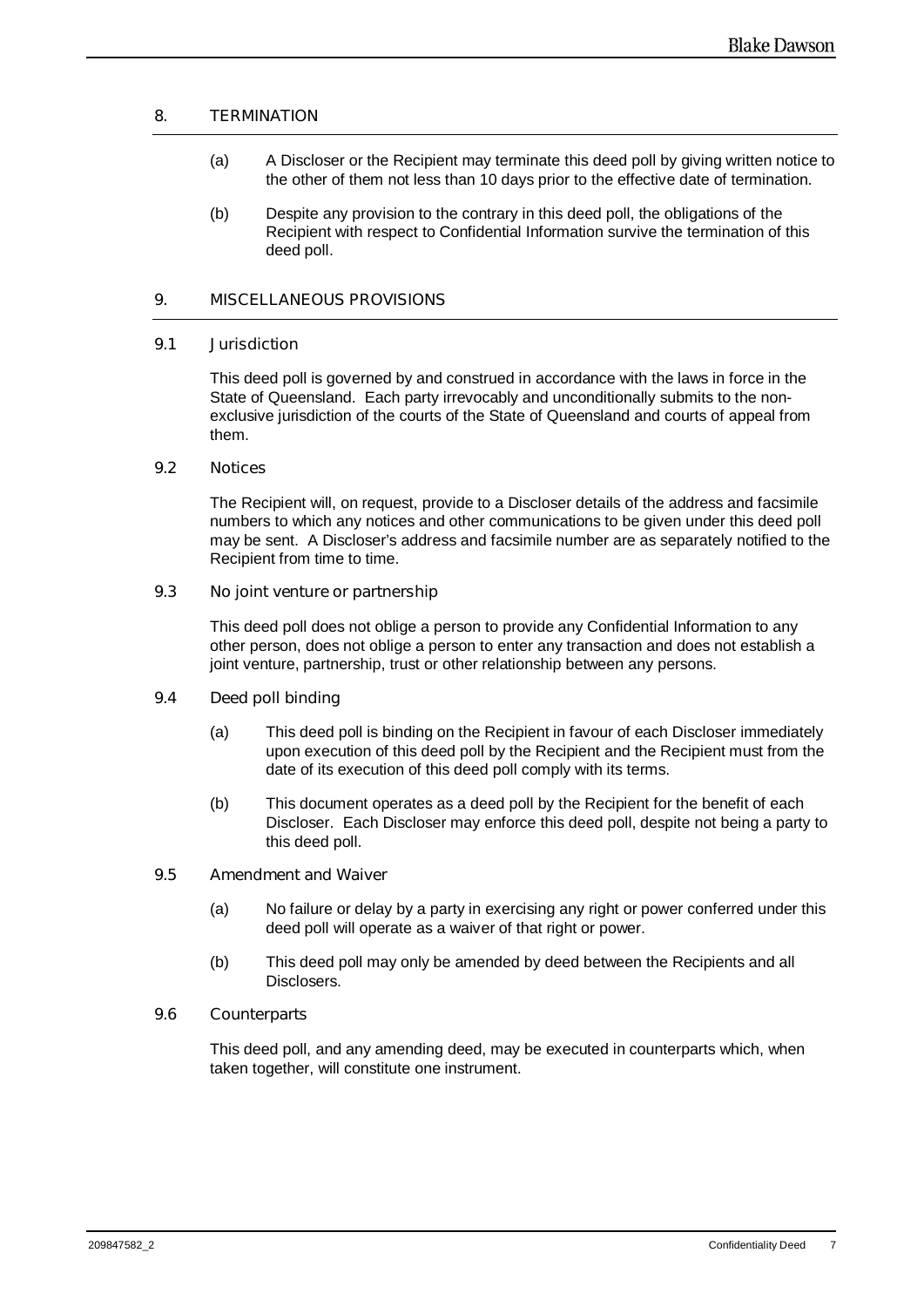#### **8. TERMINATION**

- (a) A Discloser or the Recipient may terminate this deed poll by giving written notice to the other of them not less than 10 days prior to the effective date of termination.
- (b) Despite any provision to the contrary in this deed poll, the obligations of the Recipient with respect to Confidential Information survive the termination of this deed poll.

#### **9. MISCELLANEOUS PROVISIONS**

#### **9.1 Jurisdiction**

This deed poll is governed by and construed in accordance with the laws in force in the State of Queensland. Each party irrevocably and unconditionally submits to the nonexclusive jurisdiction of the courts of the State of Queensland and courts of appeal from them.

#### **9.2 Notices**

The Recipient will, on request, provide to a Discloser details of the address and facsimile numbers to which any notices and other communications to be given under this deed poll may be sent. A Discloser's address and facsimile number are as separately notified to the Recipient from time to time.

#### **9.3 No joint venture or partnership**

This deed poll does not oblige a person to provide any Confidential Information to any other person, does not oblige a person to enter any transaction and does not establish a joint venture, partnership, trust or other relationship between any persons.

#### **9.4 Deed poll binding**

- (a) This deed poll is binding on the Recipient in favour of each Discloser immediately upon execution of this deed poll by the Recipient and the Recipient must from the date of its execution of this deed poll comply with its terms.
- (b) This document operates as a deed poll by the Recipient for the benefit of each Discloser. Each Discloser may enforce this deed poll, despite not being a party to this deed poll.

#### **9.5 Amendment and Waiver**

- (a) No failure or delay by a party in exercising any right or power conferred under this deed poll will operate as a waiver of that right or power.
- (b) This deed poll may only be amended by deed between the Recipients and all Disclosers.

#### **9.6 Counterparts**

This deed poll, and any amending deed, may be executed in counterparts which, when taken together, will constitute one instrument.